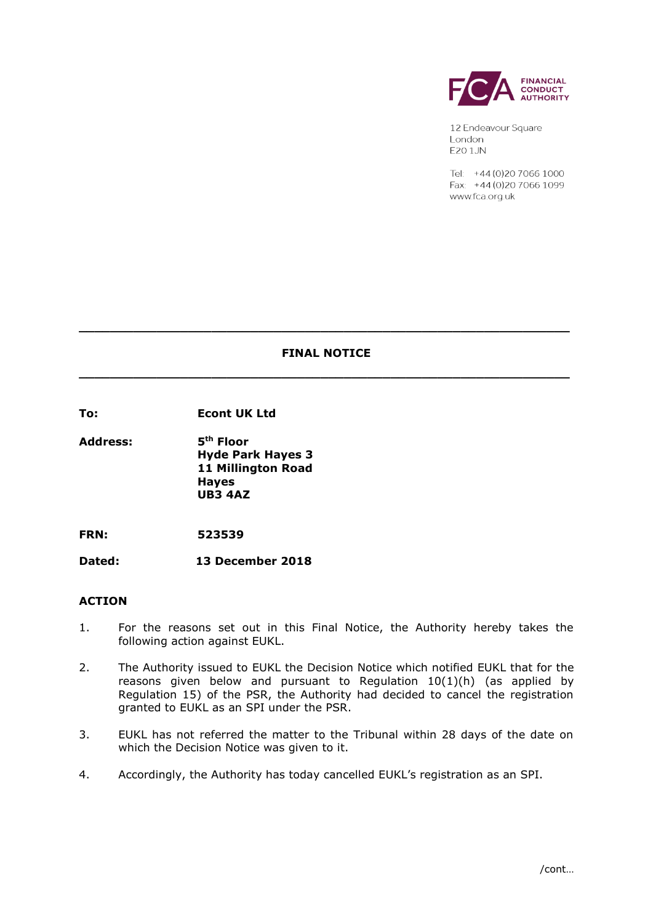

12 Endeavour Square London **E20 1JN** 

Tel: +44 (0) 20 7066 1000 Fax: +44 (0) 20 7066 1099 www.fca.org.uk

# **FINAL NOTICE \_\_\_\_\_\_\_\_\_\_\_\_\_\_\_\_\_\_\_\_\_\_\_\_\_\_\_\_\_\_\_\_\_\_\_\_\_\_\_\_\_\_\_\_\_\_\_\_\_\_\_\_\_\_\_\_\_\_\_\_\_\_\_**

**\_\_\_\_\_\_\_\_\_\_\_\_\_\_\_\_\_\_\_\_\_\_\_\_\_\_\_\_\_\_\_\_\_\_\_\_\_\_\_\_\_\_\_\_\_\_\_\_\_\_\_\_\_\_\_\_\_\_\_\_\_\_\_**

**To: Econt UK Ltd**

**Address: 5th Floor Hyde Park Hayes 3 11 Millington Road Hayes UB3 4AZ**

**FRN: 523539**

**Dated: 13 December 2018**

## **ACTION**

- 1. For the reasons set out in this Final Notice, the Authority hereby takes the following action against EUKL.
- 2. The Authority issued to EUKL the Decision Notice which notified EUKL that for the reasons given below and pursuant to Regulation  $10(1)(h)$  (as applied by Regulation 15) of the PSR, the Authority had decided to cancel the registration granted to EUKL as an SPI under the PSR.
- 3. EUKL has not referred the matter to the Tribunal within 28 days of the date on which the Decision Notice was given to it.
- 4. Accordingly, the Authority has today cancelled EUKL's registration as an SPI.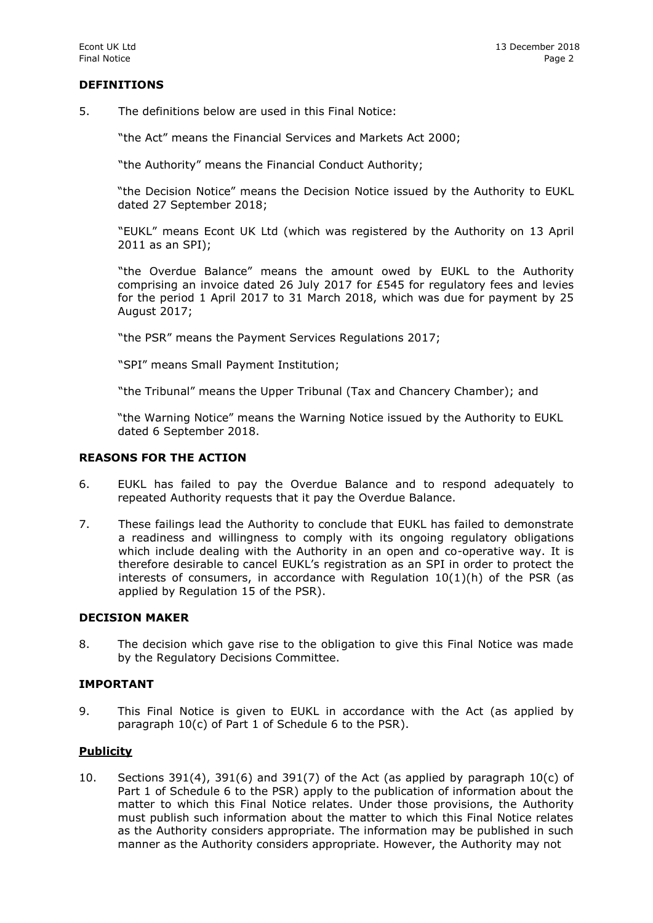## **DEFINITIONS**

5. The definitions below are used in this Final Notice:

"the Act" means the Financial Services and Markets Act 2000;

"the Authority" means the Financial Conduct Authority;

"the Decision Notice" means the Decision Notice issued by the Authority to EUKL dated 27 September 2018;

"EUKL" means Econt UK Ltd (which was registered by the Authority on 13 April 2011 as an SPI);

"the Overdue Balance" means the amount owed by EUKL to the Authority comprising an invoice dated 26 July 2017 for £545 for regulatory fees and levies for the period 1 April 2017 to 31 March 2018, which was due for payment by 25 August 2017;

"the PSR" means the Payment Services Regulations 2017;

"SPI" means Small Payment Institution;

"the Tribunal" means the Upper Tribunal (Tax and Chancery Chamber); and

"the Warning Notice" means the Warning Notice issued by the Authority to EUKL dated 6 September 2018.

#### **REASONS FOR THE ACTION**

- 6. EUKL has failed to pay the Overdue Balance and to respond adequately to repeated Authority requests that it pay the Overdue Balance.
- 7. These failings lead the Authority to conclude that EUKL has failed to demonstrate a readiness and willingness to comply with its ongoing regulatory obligations which include dealing with the Authority in an open and co-operative way. It is therefore desirable to cancel EUKL's registration as an SPI in order to protect the interests of consumers, in accordance with Regulation  $10(1)(h)$  of the PSR (as applied by Regulation 15 of the PSR).

#### **DECISION MAKER**

8. The decision which gave rise to the obligation to give this Final Notice was made by the Regulatory Decisions Committee.

#### **IMPORTANT**

9. This Final Notice is given to EUKL in accordance with the Act (as applied by paragraph 10(c) of Part 1 of Schedule 6 to the PSR).

## **Publicity**

10. Sections 391(4), 391(6) and 391(7) of the Act (as applied by paragraph  $10(c)$  of Part 1 of Schedule 6 to the PSR) apply to the publication of information about the matter to which this Final Notice relates. Under those provisions, the Authority must publish such information about the matter to which this Final Notice relates as the Authority considers appropriate. The information may be published in such manner as the Authority considers appropriate. However, the Authority may not